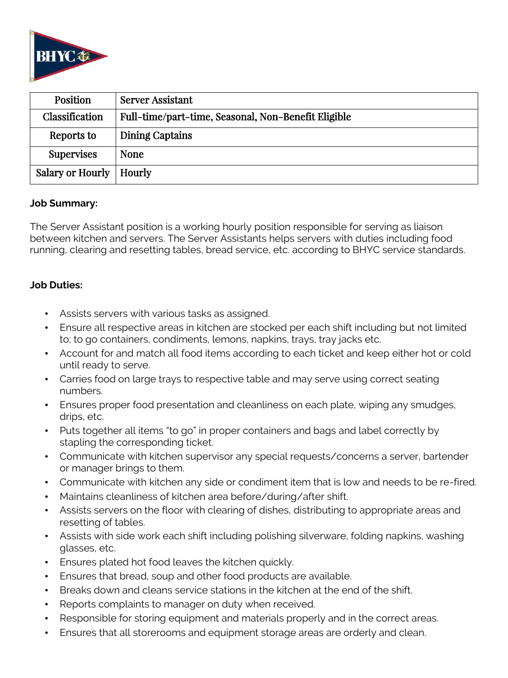

| Position                  | <b>Server Assistant</b>                             |
|---------------------------|-----------------------------------------------------|
| Classification            | Full-time/part-time, Seasonal, Non-Benefit Eligible |
| Reports to                | Dining Captains                                     |
| <b>Supervises</b>         | <b>None</b>                                         |
| Salary or Hourly   Hourly |                                                     |

#### **Job Summary:**

The Server Assistant position is a working hourly position responsible for serving as liaison between kitchen and servers. The Server Assistants helps servers with duties including food running, clearing and resetting tables, bread service, etc. according to BHYC service standards.

### **Job Duties:**

- Assists servers with various tasks as assigned.
- Ensure all respective areas in kitchen are stocked per each shift including but not limited to; to go containers, condiments, lemons, napkins, trays, tray jacks etc.
- Account for and match all food items according to each ticket and keep either hot or cold until ready to serve.
- Carries food on large trays to respective table and may serve using correct seating numbers.
- Ensures proper food presentation and cleanliness on each plate, wiping any smudges, drips, etc.
- Puts together all items "to go" in proper containers and bags and label correctly by stapling the corresponding ticket.
- Communicate with kitchen supervisor any special requests/concerns a server, bartender or manager brings to them.
- Communicate with kitchen any side or condiment item that is low and needs to be re-fired.
- Maintains cleanliness of kitchen area before/during/after shift.
- Assists servers on the floor with clearing of dishes, distributing to appropriate areas and resetting of tables.
- Assists with side work each shift including polishing silverware, folding napkins, washing glasses, etc.
- Ensures plated hot food leaves the kitchen quickly.
- Ensures that bread, soup and other food products are available.
- Breaks down and cleans service stations in the kitchen at the end of the shift.
- Reports complaints to manager on duty when received.
- Responsible for storing equipment and materials properly and in the correct areas.
- Ensures that all storerooms and equipment storage areas are orderly and clean.